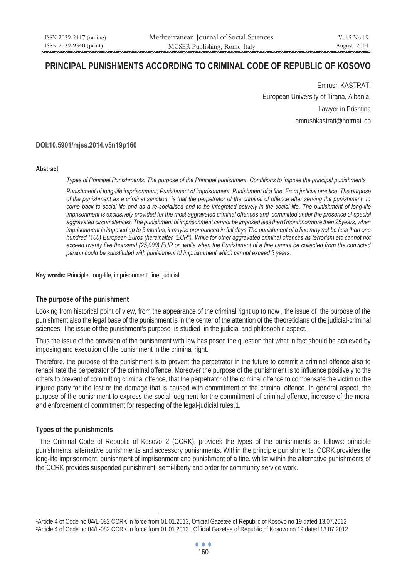# **PRINCIPAL PUNISHMENTS ACCORDING TO CRIMINAL CODE OF REPUBLIC OF KOSOVO**

Emrush KASTRATI European University of Tirana, Albania. Lawyer in Prishtina emrushkastrati@hotmail.co

#### **DOI:10.5901/mjss.2014.v5n19p160**

#### **Abstract**

*Types of Principal Punishments. The purpose of the Principal punishment. Conditions to impose the principal punishments* 

*Punishment of long-life imprisonment; Punishment of imprisonment. Punishment of a fine. From judicial practice. The purpose of the punishment as a criminal sanction is that the perpetrator of the criminal of offence after serving the punishment to*  come back to social life and as a re-socialised and to be integrated actively in the social life. The punishment of long-life *imprisonment is exclusively provided for the most aggravated criminal offences and committed under the presence of special* aggravated circumstances. The punishment of imprisonment cannot be imposed less than1monthnormore than 25years, when *imprisonment is imposed up to 6 months, it maybe pronounced in full days.The punishment of a fine may not be less than one hundred (100) European Euros (hereinafter "EUR"). While for other aggravated criminal offences as terrorism etc cannot not exceed twenty five thousand (25,000) EUR or, while when the Punishment of a fine cannot be collected from the convicted person could be substituted with punishment of imprisonment which cannot exceed 3 years.* 

**Key words:** Principle, long-life, imprisonment, fine, judicial.

#### **The purpose of the punishment**

Looking from historical point of view, from the appearance of the criminal right up to now , the issue of the purpose of the punishment also the legal base of the punishment is in the center of the attention of the theoreticians of the judicial-criminal sciences. The issue of the punishment's purpose is studied in the judicial and philosophic aspect.

Thus the issue of the provision of the punishment with law has posed the question that what in fact should be achieved by imposing and execution of the punishment in the criminal right.

Therefore, the purpose of the punishment is to prevent the perpetrator in the future to commit a criminal offence also to rehabilitate the perpetrator of the criminal offence. Moreover the purpose of the punishment is to influence positively to the others to prevent of committing criminal offence, that the perpetrator of the criminal offence to compensate the victim or the injured party for the lost or the damage that is caused with commitment of the criminal offence. In general aspect, the purpose of the punishment to express the social judgment for the commitment of criminal offence, increase of the moral and enforcement of commitment for respecting of the legal-judicial rules.1.

# **Types of the punishments**

 $\overline{a}$ 

The Criminal Code of Republic of Kosovo 2 (CCRK), provides the types of the punishments as follows: principle punishments, alternative punishments and accessory punishments. Within the principle punishments, CCRK provides the long-life imprisonment, punishment of imprisonment and punishment of a fine, whilst within the alternative punishments of the CCRK provides suspended punishment, semi-liberty and order for community service work.

<sup>1</sup>Article 4 of Code no.04/L-082 CCRK in force from 01.01.2013, Official Gazetee of Republic of Kosovo no 19 dated 13.07.2012<br>2Article 4 of Code no.04/L-082 CCRK in force from 01.01.2013, Official Gazetee of Republic of Koso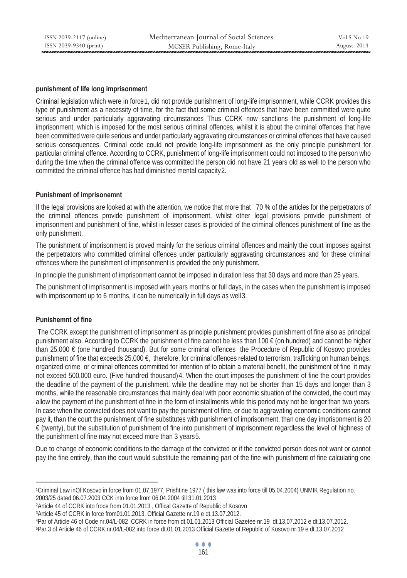#### **punishment of life long imprisonment**

Criminal legislation which were in force1, did not provide punishment of long-life imprisonment, while CCRK provides this type of punishment as a necessity of time, for the fact that some criminal offences that have been committed were quite serious and under particularly aggravating circumstances Thus CCRK now sanctions the punishment of long-life imprisonment, which is imposed for the most serious criminal offences, whilst it is about the criminal offences that have been committed were quite serious and under particularly aggravating circumstances or criminal offences that have caused serious consequences. Criminal code could not provide long-life imprisonment as the only principle punishment for particular criminal offence. According to CCRK, punishment of long-life imprisonment could not imposed to the person who during the time when the criminal offence was committed the person did not have 21 years old as well to the person who committed the criminal offence has had diminished mental capacity2.

### **Punishment of imprisonemnt**

If the legal provisions are looked at with the attention, we notice that more that 70 % of the articles for the perpetrators of the criminal offences provide punishment of imprisonment, whilst other legal provisions provide punishment of imprisonment and punishment of fine, whilst in lesser cases is provided of the criminal offences punishment of fine as the only punishment.

The punishment of imprisonment is proved mainly for the serious criminal offences and mainly the court imposes against the perpetrators who committed criminal offences under particularly aggravating circumstances and for these criminal offences where the punishment of imprisonment is provided the only punishment.

In principle the punishment of imprisonment cannot be imposed in duration less that 30 days and more than 25 years.

The punishment of imprisonment is imposed with years months or full days, in the cases when the punishment is imposed with imprisonment up to 6 months, it can be numerically in full days as well 3.

# **Punishemnt of fine**

 $\overline{a}$ 

 The CCRK except the punishment of imprisonment as principle punishment provides punishment of fine also as principal punishment also. According to CCRK the punishment of fine cannot be less than 100 € (on hundred) and cannot be higher than 25.000 € (one hundred thousand). But for some criminal offences the Procedure of Republic of Kosovo provides punishment of fine that exceeds 25.000  $\epsilon$ , therefore, for criminal offences related to terrorism, trafficking on human beings, organized crime or criminal offences committed for intention of to obtain a material benefit, the punishment of fine it may not exceed 500,000 euro. (Five hundred thousand)4. When the court imposes the punishment of fine the court provides the deadline of the payment of the punishment, while the deadline may not be shorter than 15 days and longer than 3 months, while the reasonable circumstances that mainly deal with poor economic situation of the convicted, the court may allow the payment of the punishment of fine in the form of installments while this period may not be longer than two years. In case when the convicted does not want to pay the punishment of fine, or due to aggravating economic conditions cannot pay it, than the court the punishment of fine substitutes with punishment of imprisonment, than one day imprisonment is 20 € (twenty), but the substitution of punishment of fine into punishment of imprisonment regardless the level of highness of the punishment of fine may not exceed more than 3 years 5.

Due to change of economic conditions to the damage of the convicted or if the convicted person does not want or cannot pay the fine entirely, than the court would substitute the remaining part of the fine with punishment of fine calculating one

2003/25 dated 06.07.2003 CCK into force from 06.04.2004 till 31.01.2013<br>
<sup>2</sup>Article 44 of CCRK into froce from 01.01.2013, Official Gazette of Republic of Kosovo<br>
<sup>3</sup>Article 45 of CCRK in force from01.01.2013, Official Gaz

<sup>1</sup>Criminal Law inOf Kosovo in force from 01.07.1977, Prishtine 1977 ( this law was into force till 05.04.2004) UNMIK Regulation no.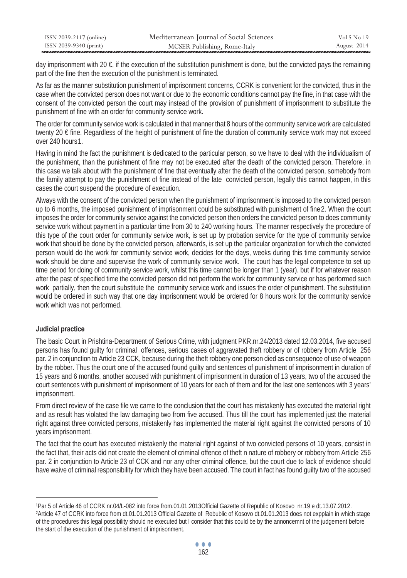| ISSN 2039-2117 (online) | Mediterranean Journal of Social Sciences | Vol 5 No 19 |
|-------------------------|------------------------------------------|-------------|
| ISSN 2039-9340 (print)  | MCSER Publishing, Rome-Italy             | August 2014 |

day imprisonment with 20  $\epsilon$ , if the execution of the substitution punishment is done, but the convicted pays the remaining part of the fine then the execution of the punishment is terminated.

As far as the manner substitution punishment of imprisonment concerns, CCRK is convenient for the convicted, thus in the case when the convicted person does not want or due to the economic conditions cannot pay the fine, in that case with the consent of the convicted person the court may instead of the provision of punishment of imprisonment to substitute the punishment of fine with an order for community service work.

The order for community service work is calculated in that manner that 8 hours of the community service work are calculated twenty 20 € fine. Regardless of the height of punishment of fine the duration of community service work may not exceed  $over 240$  hours 1

Having in mind the fact the punishment is dedicated to the particular person, so we have to deal with the individualism of the punishment, than the punishment of fine may not be executed after the death of the convicted person. Therefore, in this case we talk about with the punishment of fine that eventually after the death of the convicted person, somebody from the family attempt to pay the punishment of fine instead of the late convicted person, legally this cannot happen, in this cases the court suspend the procedure of execution.

Always with the consent of the convicted person when the punishment of imprisonment is imposed to the convicted person up to 6 months, the imposed punishment of imprisonment could be substituted with punishment of fine 2. When the court imposes the order for community service against the convicted person then orders the convicted person to does community service work without payment in a particular time from 30 to 240 working hours. The manner respectively the procedure of this type of the court order for community service work, is set up by probation service for the type of community service work that should be done by the convicted person, afterwards, is set up the particular organization for which the convicted person would do the work for community service work, decides for the days, weeks during this time community service work should be done and supervise the work of community service work. The court has the legal competence to set up time period for doing of community service work, whilst this time cannot be longer than 1 (year). but if for whatever reason after the past of specified time the convicted person did not perform the work for community service or has performed such work partially, then the court substitute the community service work and issues the order of punishment. The substitution would be ordered in such way that one day imprisonment would be ordered for 8 hours work for the community service work which was not performed.

# **Judicial practice**

 $\overline{a}$ 

The basic Court in Prishtina-Department of Serious Crime, with judgment PKR.nr.24/2013 dated 12.03.2014, five accused persons has found guilty for criminal offences, serious cases of aggravated theft robbery or of robbery from Article 256 par. 2 in conjunction to Article 23 CCK, because during the theft robbery one person died as consequence of use of weapon by the robber. Thus the court one of the accused found guilty and sentences of punishment of imprisonment in duration of 15 years and 6 months, another accused with punishment of imprisonment in duration of 13 years, two of the accused the court sentences with punishment of imprisonment of 10 years for each of them and for the last one sentences with 3 years' imprisonment.

From direct review of the case file we came to the conclusion that the court has mistakenly has executed the material right and as result has violated the law damaging two from five accused. Thus till the court has implemented just the material right against three convicted persons, mistakenly has implemented the material right against the convicted persons of 10 years imprisonment.

The fact that the court has executed mistakenly the material right against of two convicted persons of 10 years, consist in the fact that, their acts did not create the element of criminal offence of theft n nature of robbery or robbery from Article 256 par. 2 in conjunction to Article 23 of CCK and nor any other criminal offence, but the court due to lack of evidence should have waive of criminal responsibility for which they have been accused. The court in fact has found guilty two of the accused

<sup>1</sup>Par 5 of Article 46 of CCRK nr.04/L-082 into force from.01.01.2013Official Gazette of Republic of Kosovo nr.19 e dt.13.07.2012.<br>2Article 47 of CCRK into force from dt.01.01.2013 Official Gazette of Rebublic of Kosovo dt.0 of the procedures this legal possibility should ne executed but I consider that this could be by the annoncemnt of the judgement before the start of the execution of the punishment of imprisonment.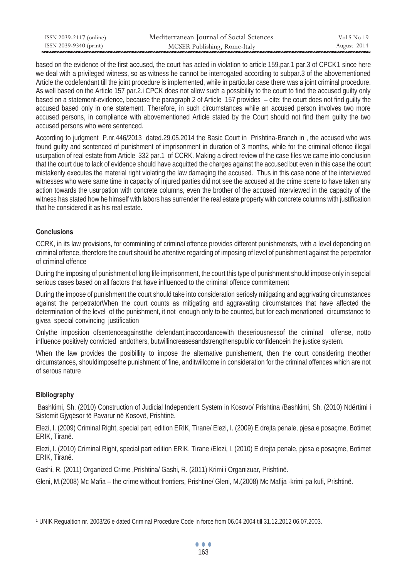| ISSN 2039-2117 (online) | Mediterranean Journal of Social Sciences | Vol 5 No 19 |
|-------------------------|------------------------------------------|-------------|
| ISSN 2039-9340 (print)  | MCSER Publishing, Rome-Italy             | August 2014 |

based on the evidence of the first accused, the court has acted in violation to article 159.par.1 par.3 of CPCK1 since here we deal with a privileged witness, so as witness he cannot be interrogated according to subpar.3 of the abovementioned Article the codefendant till the joint procedure is implemented, while in particular case there was a joint criminal procedure. As well based on the Article 157 par.2.i CPCK does not allow such a possibility to the court to find the accused guilty only based on a statement-evidence, because the paragraph 2 of Article 157 provides – cite: the court does not find guilty the accused based only in one statement. Therefore, in such circumstances while an accused person involves two more accused persons, in compliance with abovementioned Article stated by the Court should not find them guilty the two accused persons who were sentenced.

According to judgment P.nr.446/2013 dated.29.05.2014 the Basic Court in Prishtina-Branch in , the accused who was found guilty and sentenced of punishment of imprisonment in duration of 3 months, while for the criminal offence illegal usurpation of real estate from Article 332 par.1 of CCRK. Making a direct review of the case files we came into conclusion that the court due to lack of evidence should have acquitted the charges against the accused but even in this case the court mistakenly executes the material right violating the law damaging the accused. Thus in this case none of the interviewed witnesses who were same time in capacity of injured parties did not see the accused at the crime scene to have taken any action towards the usurpation with concrete columns, even the brother of the accused interviewed in the capacity of the witness has stated how he himself with labors has surrender the real estate property with concrete columns with justification that he considered it as his real estate.

# **Conclusions**

CCRK, in its law provisions, for comminting of criminal offence provides different punishmensts, with a level depending on criminal offence, therefore the court should be attentive regarding of imposing of level of punishment against the perpetrator of criminal offence

During the imposing of punishment of long life imprisonment, the court this type of punishment should impose only in sepcial serious cases based on all factors that have influenced to the criminal offence commitement

During the impose of punishment the court should take into consideration seriosly mitigating and aggrivating circumstances against the perpetratorWhen the court counts as mitigating and aggravating circumstances that have affected the determination of the level of the punishment, it not enough only to be counted, but for each menationed circumstance to givea special convincing justification

Onlythe imposition ofsentenceagainstthe defendant,inaccordancewith theseriousnessof the criminal offense, notto influence positively convicted andothers, butwillincreasesandstrengthenspublic confidencein the justice system.

When the law provides the posibillity to impose the alternative punishement, then the court considering theother circumstances, shouldimposethe punishment of fine, anditwillcome in consideration for the criminal offences which are not of serous nature

# **Bibliography**

 Bashkimi, Sh. (2010) Construction of Judicial Independent System in Kosovo/ Prishtina /Bashkimi, Sh. (2010) Ndërtimi i Sistemit Gjyqësor të Pavarur në Kosovë, Prishtinë.

Elezi, I. (2009) Criminal Right, special part, edition ERIK, Tirane/ Elezi, I. (2009) E drejta penale, pjesa e posaçme, Botimet ERIK, Tiranë.

Elezi, I. (2010) Criminal Right, special part edition ERIK, Tirane /Elezi, I. (2010) E drejta penale, pjesa e posaçme, Botimet ERIK, Tiranë.

Gashi, R. (2011) Organized Crime ,Prishtina/ Gashi, R. (2011) Krimi i Organizuar, Prishtinë.

Gleni, M.(2008) Mc Mafia – the crime without frontiers, Prishtine/ Gleni, M.(2008) Mc Mafija -krimi pa kufi, Prishtinë.

 $\overline{a}$ 1 UNIK Regualtion nr. 2003/26 e dated Criminal Procedure Code in force from 06.04 2004 till 31.12.2012 06.07.2003.